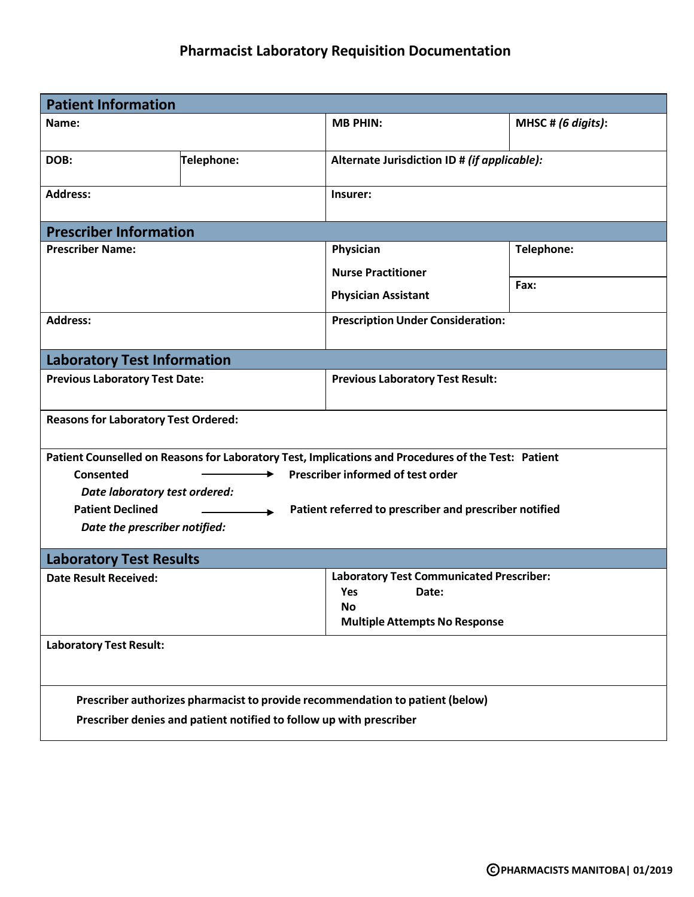## **Pharmacist Laboratory Requisition Documentation**

| <b>Patient Information</b>                                                                                                                                                                                                                                                                                   |                                    |                                                                                                               |                               |  |  |  |
|--------------------------------------------------------------------------------------------------------------------------------------------------------------------------------------------------------------------------------------------------------------------------------------------------------------|------------------------------------|---------------------------------------------------------------------------------------------------------------|-------------------------------|--|--|--|
| Name:                                                                                                                                                                                                                                                                                                        |                                    | <b>MB PHIN:</b>                                                                                               | MHSC # $(6 \text{ digits})$ : |  |  |  |
| DOB:                                                                                                                                                                                                                                                                                                         | Telephone:                         | Alternate Jurisdiction ID # (if applicable):                                                                  |                               |  |  |  |
| <b>Address:</b>                                                                                                                                                                                                                                                                                              |                                    | Insurer:                                                                                                      |                               |  |  |  |
| <b>Prescriber Information</b>                                                                                                                                                                                                                                                                                |                                    |                                                                                                               |                               |  |  |  |
| <b>Prescriber Name:</b>                                                                                                                                                                                                                                                                                      |                                    | Physician                                                                                                     | Telephone:                    |  |  |  |
|                                                                                                                                                                                                                                                                                                              |                                    | <b>Nurse Practitioner</b>                                                                                     |                               |  |  |  |
|                                                                                                                                                                                                                                                                                                              |                                    | <b>Physician Assistant</b>                                                                                    | Fax:                          |  |  |  |
| <b>Address:</b>                                                                                                                                                                                                                                                                                              |                                    | <b>Prescription Under Consideration:</b>                                                                      |                               |  |  |  |
|                                                                                                                                                                                                                                                                                                              | <b>Laboratory Test Information</b> |                                                                                                               |                               |  |  |  |
| <b>Previous Laboratory Test Date:</b>                                                                                                                                                                                                                                                                        |                                    | <b>Previous Laboratory Test Result:</b>                                                                       |                               |  |  |  |
| <b>Reasons for Laboratory Test Ordered:</b>                                                                                                                                                                                                                                                                  |                                    |                                                                                                               |                               |  |  |  |
| Patient Counselled on Reasons for Laboratory Test, Implications and Procedures of the Test: Patient<br>Prescriber informed of test order<br>Consented<br>Date laboratory test ordered:<br><b>Patient Declined</b><br>Patient referred to prescriber and prescriber notified<br>Date the prescriber notified: |                                    |                                                                                                               |                               |  |  |  |
| <b>Laboratory Test Results</b>                                                                                                                                                                                                                                                                               |                                    |                                                                                                               |                               |  |  |  |
| <b>Date Result Received:</b>                                                                                                                                                                                                                                                                                 |                                    | <b>Laboratory Test Communicated Prescriber:</b><br>Yes<br>Date:<br>No<br><b>Multiple Attempts No Response</b> |                               |  |  |  |
| <b>Laboratory Test Result:</b>                                                                                                                                                                                                                                                                               |                                    |                                                                                                               |                               |  |  |  |
| Prescriber authorizes pharmacist to provide recommendation to patient (below)<br>Prescriber denies and patient notified to follow up with prescriber                                                                                                                                                         |                                    |                                                                                                               |                               |  |  |  |